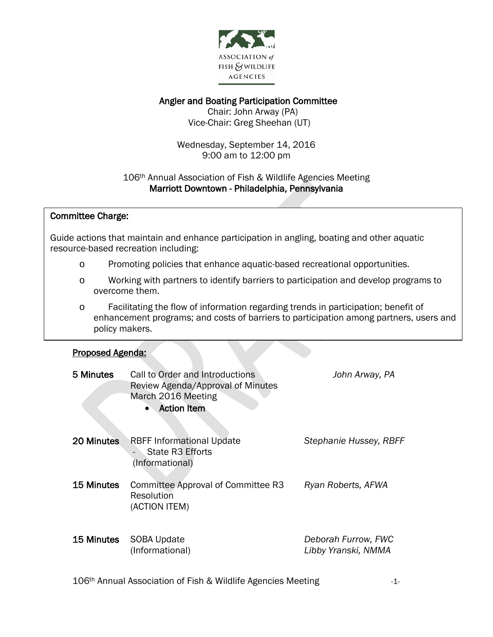

## Angler and Boating Participation Committee

 Chair: John Arway (PA) Vice-Chair: Greg Sheehan (UT)

Wednesday, September 14, 2016 9:00 am to 12:00 pm

## 106th Annual Association of Fish & Wildlife Agencies Meeting Marriott Downtown - Philadelphia, Pennsylvania

## $\overline{\phantom{a}}$ Committee Charge:

 Guide actions that maintain and enhance participation in angling, boating and other aquatic ้ resource-based recreation including:

- o Promoting policies that enhance aquatic-based recreational opportunities.
- o Working with partners to identify barriers to participation and develop programs to overcome them.
- o Facilitating the flow of information regarding trends in participation; benefit of enhancement programs; and costs of barriers to participation among partners, users and policy makers.

## I Proposed Agenda:

| 5 Minutes  | Call to Order and Introductions<br>Review Agenda/Approval of Minutes<br>March 2016 Meeting<br><b>Action Item</b> | John Arway, PA                             |
|------------|------------------------------------------------------------------------------------------------------------------|--------------------------------------------|
| 20 Minutes | <b>RBFF Informational Update</b><br>State R3 Efforts<br>(Informational)                                          | Stephanie Hussey, RBFF                     |
| 15 Minutes | Committee Approval of Committee R3<br>Resolution<br>(ACTION ITEM)                                                | Ryan Roberts, AFWA                         |
| 15 Minutes | <b>SOBA Update</b><br>(Informational)                                                                            | Deborah Furrow, FWC<br>Libby Yranski, NMMA |